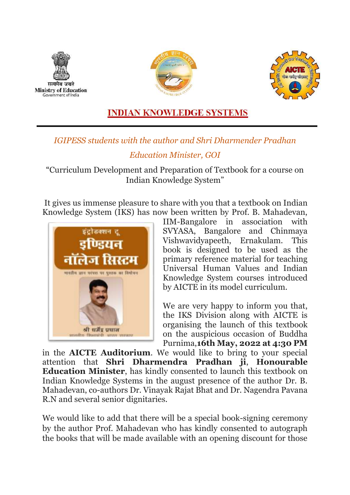



# **INDIAN KNOWLEDGE SYSTEMS**

## *IGIPESS students with the author and Shri Dharmender Pradhan*

## *Education Minister, GOI*

"Curriculum Development and Preparation of Textbook for a course on Indian Knowledge System"

It gives us immense pleasure to share with you that a textbook on Indian Knowledge System (IKS) has now been written by Prof. B. Mahadevan,



IIM-Bangalore in association with SVYASA, Bangalore and Chinmaya Vishwavidyapeeth, Ernakulam. This book is designed to be used as the primary reference material for teaching Universal Human Values and Indian Knowledge System courses introduced by AICTE in its model curriculum.

We are very happy to inform you that, the IKS Division along with AICTE is organising the launch of this textbook on the auspicious occasion of Buddha Purnima,**16th May, 2022 at 4:30 PM** 

in the **AICTE Auditorium**. We would like to bring to your special attention that **Shri Dharmendra Pradhan ji**, **Honourable Education Minister**, has kindly consented to launch this textbook on Indian Knowledge Systems in the august presence of the author Dr. B. Mahadevan, co-authors Dr. Vinayak Rajat Bhat and Dr. Nagendra Pavana R.N and several senior dignitaries.

We would like to add that there will be a special book-signing ceremony by the author Prof. Mahadevan who has kindly consented to autograph the books that will be made available with an opening discount for those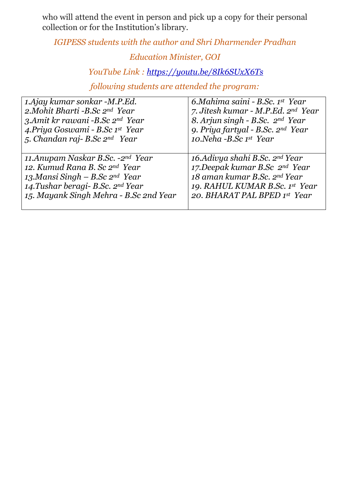who will attend the event in person and pick up a copy for their personal collection or for the Institution's library.

*IGIPESS students with the author and Shri Dharmender Pradhan* 

#### *Education Minister, GOI*

#### *YouTube Link :<https://youtu.be/8Ik6SUxX6Ts>*

*following students are attended the program:*

| 1.Ajay kumar sonkar -M.P.Ed.                  | 6. Mahima saini - B.Sc. 1st Year     |
|-----------------------------------------------|--------------------------------------|
| 2. Mohit Bharti - B.Sc 2nd Year               | 7. Jitesh kumar - M.P.Ed. 2nd Year   |
| 3.Amit kr rawani -B.Sc 2nd Year               | 8. Arjun singh - B.Sc. $2^{nd}$ Year |
| 4. Priya Goswami - B.Sc 1st Year              | 9. Priya fartyal - B.Sc. 2nd Year    |
| 5. Chandan raj- B.Sc 2nd Year                 | $10$ .Neha -B.Sc $1^{st}$ Year       |
|                                               |                                      |
| 11.Anupam Naskar B.Sc. $-2^{nd}$ Year         | 16.Adivya shahi B.Sc. $2^{nd}$ Year  |
| 12. Kumud Rana B. Sc 2nd Year                 | 17.Deepak kumar B.Sc 2nd Year        |
| 13. Mansi Singh $- B.Sc$ 2 <sup>nd</sup> Year | 18 aman kumar B.Sc. 2nd Year         |
| 14. Tushar beragi- B.Sc. $2^{nd}$ Year        | 19. RAHUL KUMAR B.Sc. 1st Year       |
| 15. Mayank Singh Mehra - B.Sc 2nd Year        | 20. BHARAT PAL BPED 1st Year         |
|                                               |                                      |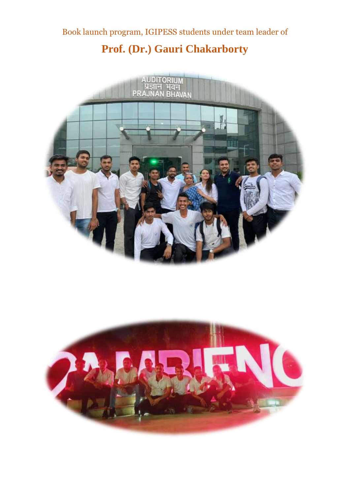Book launch program, IGIPESS students under team leader of

**[Prof. \(Dr.\) Gauri Chakarborty](https://igipess.du.ac.in/faculty.resume.php?val1=Nw==)**



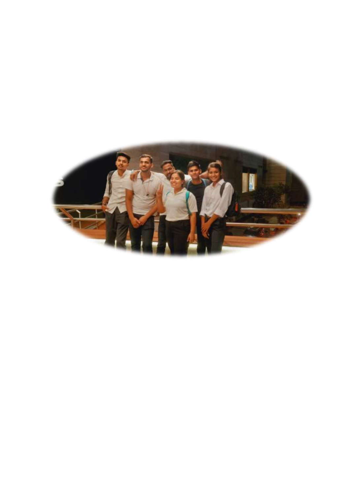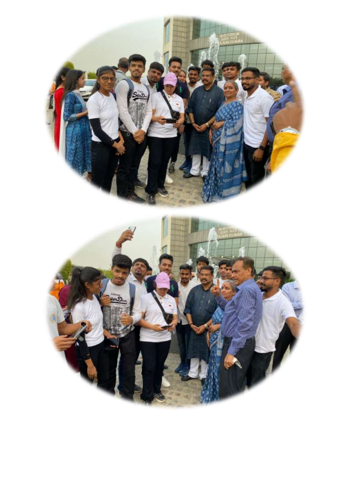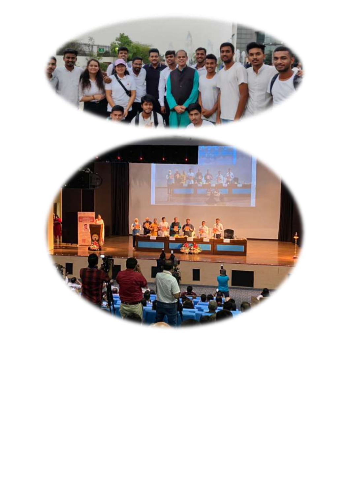